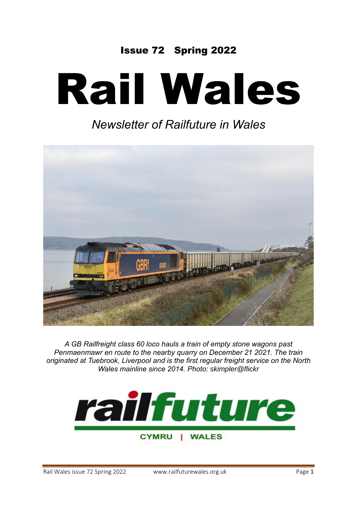## Issue 72 Spring 2022

# Rail Wales

# *Newsletter of Railfuture in Wales*



*A GB Railfreight class 60 loco hauls a train of empty stone wagons past Penmaenmawr en route to the nearby quarry on December 21 2021. The train originated at Tuebrook, Liverpool and is the first regular freight service on the North Wales mainline since 2014. Photo: skimpler@flickr*



CYMRU | WALES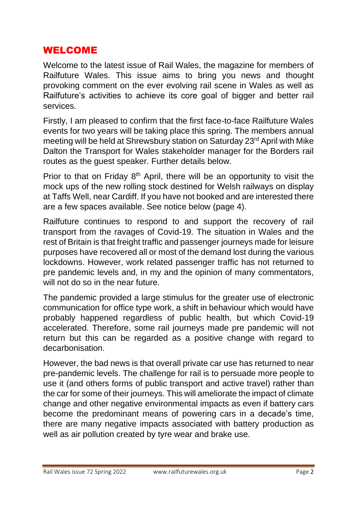## WELCOME

Welcome to the latest issue of Rail Wales, the magazine for members of Railfuture Wales. This issue aims to bring you news and thought provoking comment on the ever evolving rail scene in Wales as well as Railfuture's activities to achieve its core goal of bigger and better rail services.

Firstly, I am pleased to confirm that the first face-to-face Railfuture Wales events for two years will be taking place this spring. The members annual meeting will be held at Shrewsbury station on Saturday 23<sup>rd</sup> April with Mike Dalton the Transport for Wales stakeholder manager for the Borders rail routes as the guest speaker. Further details below.

Prior to that on Friday  $8<sup>th</sup>$  April, there will be an opportunity to visit the mock ups of the new rolling stock destined for Welsh railways on display at Taffs Well, near Cardiff. If you have not booked and are interested there are a few spaces available. See notice below (page 4).

Railfuture continues to respond to and support the recovery of rail transport from the ravages of Covid-19. The situation in Wales and the rest of Britain is that freight traffic and passenger journeys made for leisure purposes have recovered all or most of the demand lost during the various lockdowns. However, work related passenger traffic has not returned to pre pandemic levels and, in my and the opinion of many commentators, will not do so in the near future.

The pandemic provided a large stimulus for the greater use of electronic communication for office type work, a shift in behaviour which would have probably happened regardless of public health, but which Covid-19 accelerated. Therefore, some rail journeys made pre pandemic will not return but this can be regarded as a positive change with regard to decarbonisation.

However, the bad news is that overall private car use has returned to near pre-pandemic levels. The challenge for rail is to persuade more people to use it (and others forms of public transport and active travel) rather than the car for some of their journeys. This will ameliorate the impact of climate change and other negative environmental impacts as even if battery cars become the predominant means of powering cars in a decade's time, there are many negative impacts associated with battery production as well as air pollution created by tyre wear and brake use.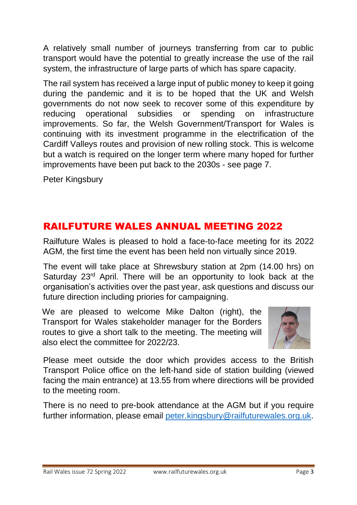A relatively small number of journeys transferring from car to public transport would have the potential to greatly increase the use of the rail system, the infrastructure of large parts of which has spare capacity.

The rail system has received a large input of public money to keep it going during the pandemic and it is to be hoped that the UK and Welsh governments do not now seek to recover some of this expenditure by reducing operational subsidies or spending on infrastructure improvements. So far, the Welsh Government/Transport for Wales is continuing with its investment programme in the electrification of the Cardiff Valleys routes and provision of new rolling stock. This is welcome but a watch is required on the longer term where many hoped for further improvements have been put back to the 2030s - see page 7.

Peter Kingsbury

## RAILFUTURE WALES ANNUAL MEETING 2022

Railfuture Wales is pleased to hold a face-to-face meeting for its 2022 AGM, the first time the event has been held non virtually since 2019.

The event will take place at Shrewsbury station at 2pm (14.00 hrs) on Saturday 23<sup>rd</sup> April. There will be an opportunity to look back at the organisation's activities over the past year, ask questions and discuss our future direction including priories for campaigning.

We are pleased to welcome Mike Dalton (right), the Transport for Wales stakeholder manager for the Borders routes to give a short talk to the meeting. The meeting will also elect the committee for 2022/23.



Please meet outside the door which provides access to the British Transport Police office on the left-hand side of station building (viewed facing the main entrance) at 13.55 from where directions will be provided to the meeting room.

There is no need to pre-book attendance at the AGM but if you require further information, please email [peter.kingsbury@railfuturewales.org.uk.](mailto:peter.kingsbury@railfuturewales.org.uk)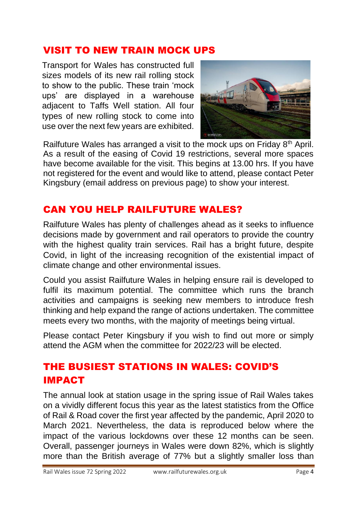## VISIT TO NEW TRAIN MOCK UPS

Transport for Wales has constructed full sizes models of its new rail rolling stock to show to the public. These train 'mock ups' are displayed in a warehouse adjacent to Taffs Well station. All four types of new rolling stock to come into use over the next few years are exhibited.



Railfuture Wales has arranged a visit to the mock ups on Friday 8<sup>th</sup> April. As a result of the easing of Covid 19 restrictions, several more spaces have become available for the visit. This begins at 13.00 hrs. If you have not registered for the event and would like to attend, please contact Peter Kingsbury (email address on previous page) to show your interest.

## CAN YOU HELP RAILFUTURE WALES?

Railfuture Wales has plenty of challenges ahead as it seeks to influence decisions made by government and rail operators to provide the country with the highest quality train services. Rail has a bright future, despite Covid, in light of the increasing recognition of the existential impact of climate change and other environmental issues.

Could you assist Railfuture Wales in helping ensure rail is developed to fulfil its maximum potential. The committee which runs the branch activities and campaigns is seeking new members to introduce fresh thinking and help expand the range of actions undertaken. The committee meets every two months, with the majority of meetings being virtual.

Please contact Peter Kingsbury if you wish to find out more or simply attend the AGM when the committee for 2022/23 will be elected.

# THE BUSIEST STATIONS IN WALES: COVID'S IMPACT

The annual look at station usage in the spring issue of Rail Wales takes on a vividly different focus this year as the latest statistics from the Office of Rail & Road cover the first year affected by the pandemic, April 2020 to March 2021. Nevertheless, the data is reproduced below where the impact of the various lockdowns over these 12 months can be seen. Overall, passenger journeys in Wales were down 82%, which is slightly more than the British average of 77% but a slightly smaller loss than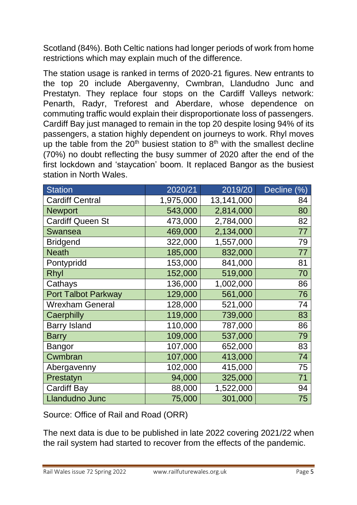Scotland (84%). Both Celtic nations had longer periods of work from home restrictions which may explain much of the difference.

The station usage is ranked in terms of 2020-21 figures. New entrants to the top 20 include Abergavenny, Cwmbran, Llandudno Junc and Prestatyn. They replace four stops on the Cardiff Valleys network: Penarth, Radyr, Treforest and Aberdare, whose dependence on commuting traffic would explain their disproportionate loss of passengers. Cardiff Bay just managed to remain in the top 20 despite losing 94% of its passengers, a station highly dependent on journeys to work. Rhyl moves up the table from the  $20<sup>th</sup>$  busiest station to  $8<sup>th</sup>$  with the smallest decline (70%) no doubt reflecting the busy summer of 2020 after the end of the first lockdown and 'staycation' boom. It replaced Bangor as the busiest station in North Wales.

| <b>Station</b>             | 2020/21   | 2019/20    | <b>Decline</b><br>(%) |
|----------------------------|-----------|------------|-----------------------|
| <b>Cardiff Central</b>     | 1,975,000 | 13,141,000 | 84                    |
| <b>Newport</b>             | 543,000   | 2,814,000  | 80                    |
| <b>Cardiff Queen St</b>    | 473,000   | 2,784,000  | 82                    |
| <b>Swansea</b>             | 469,000   | 2,134,000  | 77                    |
| <b>Bridgend</b>            | 322,000   | 1,557,000  | 79                    |
| <b>Neath</b>               | 185,000   | 832,000    | 77                    |
| Pontypridd                 | 153,000   | 841,000    | 81                    |
| Rhyl                       | 152,000   | 519,000    | 70                    |
| Cathays                    | 136,000   | 1,002,000  | 86                    |
| <b>Port Talbot Parkway</b> | 129,000   | 561,000    | 76                    |
| <b>Wrexham General</b>     | 128,000   | 521,000    | 74                    |
| Caerphilly                 | 119,000   | 739,000    | 83                    |
| <b>Barry Island</b>        | 110,000   | 787,000    | 86                    |
| <b>Barry</b>               | 109,000   | 537,000    | 79                    |
| <b>Bangor</b>              | 107,000   | 652,000    | 83                    |
| Cwmbran                    | 107,000   | 413,000    | 74                    |
| Abergavenny                | 102,000   | 415,000    | 75                    |
| Prestatyn                  | 94,000    | 325,000    | 71                    |
| <b>Cardiff Bay</b>         | 88,000    | 1,522,000  | 94                    |
| <b>Llandudno Junc</b>      | 75,000    | 301,000    | 75                    |

Source: Office of Rail and Road (ORR)

The next data is due to be published in late 2022 covering 2021/22 when the rail system had started to recover from the effects of the pandemic.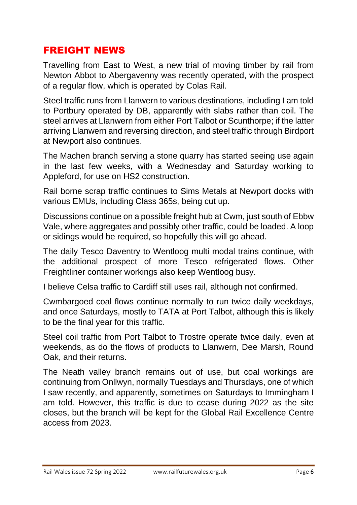## FREIGHT NEWS

Travelling from East to West, a new trial of moving timber by rail from Newton Abbot to Abergavenny was recently operated, with the prospect of a regular flow, which is operated by Colas Rail.

Steel traffic runs from Llanwern to various destinations, including I am told to Portbury operated by DB, apparently with slabs rather than coil. The steel arrives at Llanwern from either Port Talbot or Scunthorpe; if the latter arriving Llanwern and reversing direction, and steel traffic through Birdport at Newport also continues.

The Machen branch serving a stone quarry has started seeing use again in the last few weeks, with a Wednesday and Saturday working to Appleford, for use on HS2 construction.

Rail borne scrap traffic continues to Sims Metals at Newport docks with various EMUs, including Class 365s, being cut up.

Discussions continue on a possible freight hub at Cwm, just south of Ebbw Vale, where aggregates and possibly other traffic, could be loaded. A loop or sidings would be required, so hopefully this will go ahead.

The daily Tesco Daventry to Wentloog multi modal trains continue, with the additional prospect of more Tesco refrigerated flows. Other Freightliner container workings also keep Wentloog busy.

I believe Celsa traffic to Cardiff still uses rail, although not confirmed.

Cwmbargoed coal flows continue normally to run twice daily weekdays, and once Saturdays, mostly to TATA at Port Talbot, although this is likely to be the final year for this traffic.

Steel coil traffic from Port Talbot to Trostre operate twice daily, even at weekends, as do the flows of products to Llanwern, Dee Marsh, Round Oak, and their returns.

The Neath valley branch remains out of use, but coal workings are continuing from Onllwyn, normally Tuesdays and Thursdays, one of which I saw recently, and apparently, sometimes on Saturdays to Immingham I am told. However, this traffic is due to cease during 2022 as the site closes, but the branch will be kept for the Global Rail Excellence Centre access from 2023.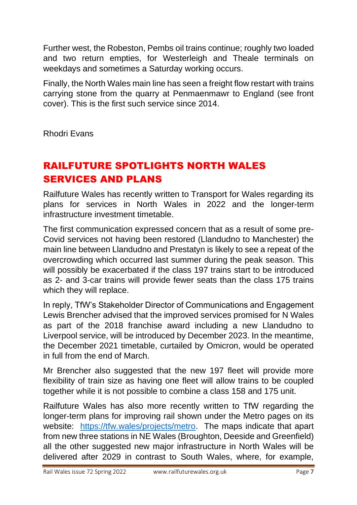Further west, the Robeston, Pembs oil trains continue; roughly two loaded and two return empties, for Westerleigh and Theale terminals on weekdays and sometimes a Saturday working occurs.

Finally, the North Wales main line has seen a freight flow restart with trains carrying stone from the quarry at Penmaenmawr to England (see front cover). This is the first such service since 2014.

Rhodri Evans

# RAILFUTURE SPOTLIGHTS NORTH WALES SERVICES AND PLANS

Railfuture Wales has recently written to Transport for Wales regarding its plans for services in North Wales in 2022 and the longer-term infrastructure investment timetable.

The first communication expressed concern that as a result of some pre-Covid services not having been restored (Llandudno to Manchester) the main line between Llandudno and Prestatyn is likely to see a repeat of the overcrowding which occurred last summer during the peak season. This will possibly be exacerbated if the class 197 trains start to be introduced as 2- and 3-car trains will provide fewer seats than the class 175 trains which they will replace.

In reply, TfW's Stakeholder Director of Communications and Engagement Lewis Brencher advised that the improved services promised for N Wales as part of the 2018 franchise award including a new Llandudno to Liverpool service, will be introduced by December 2023. In the meantime, the December 2021 timetable, curtailed by Omicron, would be operated in full from the end of March.

Mr Brencher also suggested that the new 197 fleet will provide more flexibility of train size as having one fleet will allow trains to be coupled together while it is not possible to combine a class 158 and 175 unit.

Railfuture Wales has also more recently written to TfW regarding the longer-term plans for improving rail shown under the Metro pages on its website: [https://tfw.wales/projects/metro.](https://tfw.wales/projects/metro) The maps indicate that apart from new three stations in NE Wales (Broughton, Deeside and Greenfield) all the other suggested new major infrastructure in North Wales will be delivered after 2029 in contrast to South Wales, where, for example,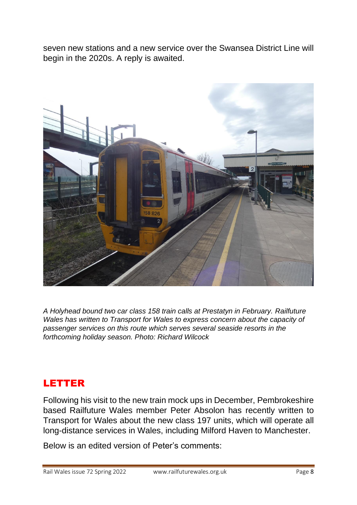seven new stations and a new service over the Swansea District Line will begin in the 2020s. A reply is awaited.



*A Holyhead bound two car class 158 train calls at Prestatyn in February. Railfuture Wales has written to Transport for Wales to express concern about the capacity of passenger services on this route which serves several seaside resorts in the forthcoming holiday season. Photo: Richard Wilcock* 

## LETTER

Following his visit to the new train mock ups in December, Pembrokeshire based Railfuture Wales member Peter Absolon has recently written to Transport for Wales about the new class 197 units, which will operate all long-distance services in Wales, including Milford Haven to Manchester.

Below is an edited version of Peter's comments: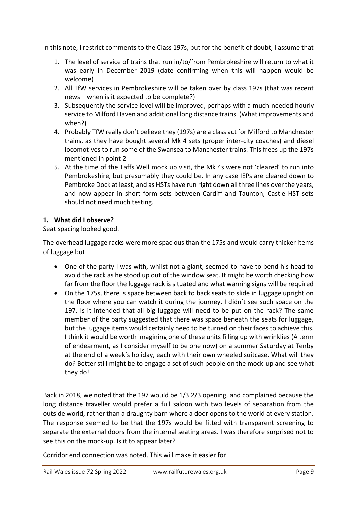In this note, I restrict comments to the Class 197s, but for the benefit of doubt, I assume that

- 1. The level of service of trains that run in/to/from Pembrokeshire will return to what it was early in December 2019 (date confirming when this will happen would be welcome)
- 2. All TfW services in Pembrokeshire will be taken over by class 197s (that was recent news – when is it expected to be complete?)
- 3. Subsequently the service level will be improved, perhaps with a much-needed hourly service to Milford Haven and additional long distance trains. (What improvements and when?)
- 4. Probably TfW really don't believe they (197s) are a class act for Milford to Manchester trains, as they have bought several Mk 4 sets (proper inter-city coaches) and diesel locomotives to run some of the Swansea to Manchester trains. This frees up the 197s mentioned in point 2
- 5. At the time of the Taffs Well mock up visit, the Mk 4s were not 'cleared' to run into Pembrokeshire, but presumably they could be. In any case IEPs are cleared down to Pembroke Dock at least, and as HSTs have run right down all three lines over the years, and now appear in short form sets between Cardiff and Taunton, Castle HST sets should not need much testing.

#### **1. What did I observe?**

Seat spacing looked good.

The overhead luggage racks were more spacious than the 175s and would carry thicker items of luggage but

- One of the party I was with, whilst not a giant, seemed to have to bend his head to avoid the rack as he stood up out of the window seat. It might be worth checking how far from the floor the luggage rack is situated and what warning signs will be required
- On the 175s, there is space between back to back seats to slide in luggage upright on the floor where you can watch it during the journey. I didn't see such space on the 197. Is it intended that all big luggage will need to be put on the rack? The same member of the party suggested that there was space beneath the seats for luggage, but the luggage items would certainly need to be turned on their faces to achieve this. I think it would be worth imagining one of these units filling up with wrinklies (A term of endearment, as I consider myself to be one now) on a summer Saturday at Tenby at the end of a week's holiday, each with their own wheeled suitcase. What will they do? Better still might be to engage a set of such people on the mock-up and see what they do!

Back in 2018, we noted that the 197 would be 1/3 2/3 opening, and complained because the long distance traveller would prefer a full saloon with two levels of separation from the outside world, rather than a draughty barn where a door opens to the world at every station. The response seemed to be that the 197s would be fitted with transparent screening to separate the external doors from the internal seating areas. I was therefore surprised not to see this on the mock-up. Is it to appear later?

Corridor end connection was noted. This will make it easier for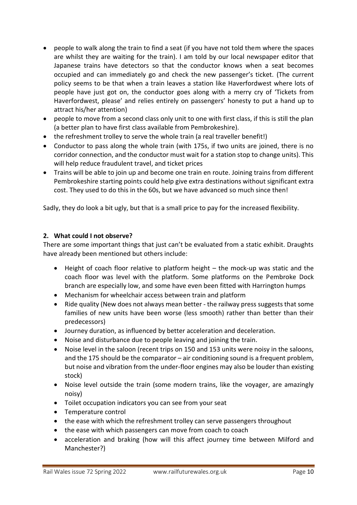- people to walk along the train to find a seat (if you have not told them where the spaces are whilst they are waiting for the train). I am told by our local newspaper editor that Japanese trains have detectors so that the conductor knows when a seat becomes occupied and can immediately go and check the new passenger's ticket. (The current policy seems to be that when a train leaves a station like Haverfordwest where lots of people have just got on, the conductor goes along with a merry cry of 'Tickets from Haverfordwest, please' and relies entirely on passengers' honesty to put a hand up to attract his/her attention)
- people to move from a second class only unit to one with first class, if this is still the plan (a better plan to have first class available from Pembrokeshire).
- the refreshment trolley to serve the whole train (a real traveller benefit!)
- Conductor to pass along the whole train (with 175s, if two units are joined, there is no corridor connection, and the conductor must wait for a station stop to change units). This will help reduce fraudulent travel, and ticket prices
- Trains will be able to join up and become one train en route. Joining trains from different Pembrokeshire starting points could help give extra destinations without significant extra cost. They used to do this in the 60s, but we have advanced so much since then!

Sadly, they do look a bit ugly, but that is a small price to pay for the increased flexibility.

#### **2. What could I not observe?**

There are some important things that just can't be evaluated from a static exhibit. Draughts have already been mentioned but others include:

- Height of coach floor relative to platform height the mock-up was static and the coach floor was level with the platform. Some platforms on the Pembroke Dock branch are especially low, and some have even been fitted with Harrington humps
- Mechanism for wheelchair access between train and platform
- Ride quality (New does not always mean better the railway press suggests that some families of new units have been worse (less smooth) rather than better than their predecessors)
- Journey duration, as influenced by better acceleration and deceleration.
- Noise and disturbance due to people leaving and joining the train.
- Noise level in the saloon (recent trips on 150 and 153 units were noisy in the saloons, and the 175 should be the comparator  $-$  air conditioning sound is a frequent problem, but noise and vibration from the under-floor engines may also be louder than existing stock)
- Noise level outside the train (some modern trains, like the voyager, are amazingly noisy)
- Toilet occupation indicators you can see from your seat
- Temperature control
- the ease with which the refreshment trolley can serve passengers throughout
- the ease with which passengers can move from coach to coach
- acceleration and braking (how will this affect journey time between Milford and Manchester?)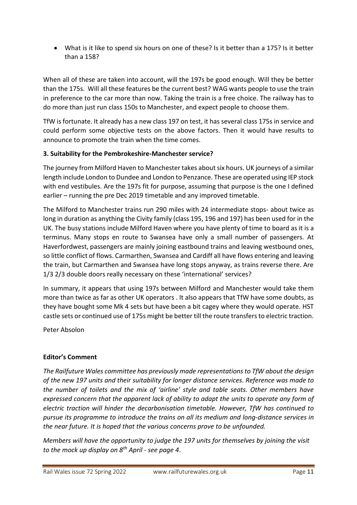• What is it like to spend six hours on one of these? Is it better than a 175? Is it better than a 158?

When all of these are taken into account, will the 197s be good enough. Will they be better than the 175s. Will all these features be the current best? WAG wants people to use the train in preference to the car more than now. Taking the train is a free choice. The railway has to do more than just run class 150s to Manchester, and expect people to choose them.

TfW is fortunate. It already has a new class 197 on test, it has several class 175s in service and could perform some objective tests on the above factors. Then it would have results to announce to promote the train when the time comes.

#### **3. Suitability for the Pembrokeshire-Manchester service?**

The journey from Milford Haven to Manchester takes about six hours. UK journeys of a similar length include London to Dundee and London to Penzance. These are operated using IEP stock with end vestibules. Are the 197s fit for purpose, assuming that purpose is the one I defined earlier – running the pre Dec 2019 timetable and any improved timetable.

The Milford to Manchester trains run 290 miles with 24 intermediate stops- about twice as long in duration as anything the Civity family (class 195, 196 and 197) has been used for in the UK. The busy stations include Milford Haven where you have plenty of time to board as it is a terminus. Many stops en route to Swansea have only a small number of passengers. At Haverfordwest, passengers are mainly joining eastbound trains and leaving westbound ones, so little conflict of flows. Carmarthen, Swansea and Cardiff all have flows entering and leaving the train, but Carmarthen and Swansea have long stops anyway, as trains reverse there. Are 1/3 2/3 double doors really necessary on these 'international' services?

In summary, it appears that using 197s between Milford and Manchester would take them more than twice as far as other UK operators . It also appears that TfW have some doubts, as they have bought some Mk 4 sets but have been a bit cagey where they would operate. HST castle sets or continued use of 175s might be better till the route transfers to electric traction.

Peter Absolon

#### **Editor's Comment**

*The Railfuture Wales committee has previously made representations to TfW about the design of the new 197 units and their suitability for longer distance services. Reference was made to the number of toilets and the mix of 'airline' style and table seats. Other members have expressed concern that the apparent lack of ability to adapt the units to operate any form of electric traction will hinder the decarbonisation timetable. However, TfW has continued to pursue its programme to introduce the trains on all its medium and long-distance services in the near future. It is hoped that the various concerns prove to be unfounded.* 

*Members will have the opportunity to judge the 197 units for themselves by joining the visit to the mock up display on 8th April - see page 4*.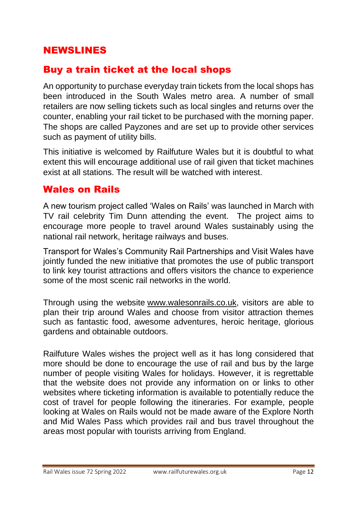## NEWSLINES

## Buy a train ticket at the local shops

An opportunity to purchase everyday train tickets from the local shops has been introduced in the South Wales metro area. A number of small retailers are now selling tickets such as local singles and returns over the counter, enabling your rail ticket to be purchased with the morning paper. The shops are called Payzones and are set up to provide other services such as payment of utility bills.

This initiative is welcomed by Railfuture Wales but it is doubtful to what extent this will encourage additional use of rail given that ticket machines exist at all stations. The result will be watched with interest.

## Wales on Rails

A new tourism project called 'Wales on Rails' was launched in March with TV rail celebrity Tim Dunn attending the event. The project aims to encourage more people to travel around Wales sustainably using the national rail network, heritage railways and buses.

Transport for Wales's Community Rail Partnerships and Visit Wales have jointly funded the new initiative that promotes the use of public transport to link key tourist attractions and offers visitors the chance to experience some of the most scenic rail networks in the world.

Through using the website [www.walesonrails.co.uk,](http://www.walesonrails.co.uk/) visitors are able to plan their trip around Wales and choose from visitor attraction themes such as fantastic food, awesome adventures, heroic heritage, glorious gardens and obtainable outdoors.

Railfuture Wales wishes the project well as it has long considered that more should be done to encourage the use of rail and bus by the large number of people visiting Wales for holidays. However, it is regrettable that the website does not provide any information on or links to other websites where ticketing information is available to potentially reduce the cost of travel for people following the itineraries. For example, people looking at Wales on Rails would not be made aware of the Explore North and Mid Wales Pass which provides rail and bus travel throughout the areas most popular with tourists arriving from England.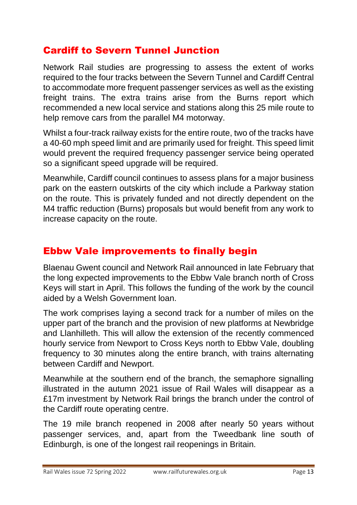## Cardiff to Severn Tunnel Junction

Network Rail studies are progressing to assess the extent of works required to the four tracks between the Severn Tunnel and Cardiff Central to accommodate more frequent passenger services as well as the existing freight trains. The extra trains arise from the Burns report which recommended a new local service and stations along this 25 mile route to help remove cars from the parallel M4 motorway.

Whilst a four-track railway exists for the entire route, two of the tracks have a 40-60 mph speed limit and are primarily used for freight. This speed limit would prevent the required frequency passenger service being operated so a significant speed upgrade will be required.

Meanwhile, Cardiff council continues to assess plans for a major business park on the eastern outskirts of the city which include a Parkway station on the route. This is privately funded and not directly dependent on the M4 traffic reduction (Burns) proposals but would benefit from any work to increase capacity on the route.

## Ebbw Vale improvements to finally begin

Blaenau Gwent council and Network Rail announced in late February that the long expected improvements to the Ebbw Vale branch north of Cross Keys will start in April. This follows the funding of the work by the council aided by a Welsh Government loan.

The work comprises laying a second track for a number of miles on the upper part of the branch and the provision of new platforms at Newbridge and Llanhilleth. This will allow the extension of the recently commenced hourly service from Newport to Cross Keys north to Ebbw Vale, doubling frequency to 30 minutes along the entire branch, with trains alternating between Cardiff and Newport.

Meanwhile at the southern end of the branch, the semaphore signalling illustrated in the autumn 2021 issue of Rail Wales will disappear as a £17m investment by Network Rail brings the branch under the control of the Cardiff route operating centre.

The 19 mile branch reopened in 2008 after nearly 50 years without passenger services, and, apart from the Tweedbank line south of Edinburgh, is one of the longest rail reopenings in Britain.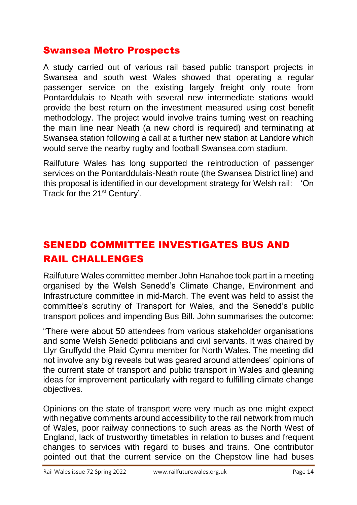## Swansea Metro Prospects

A study carried out of various rail based public transport projects in Swansea and south west Wales showed that operating a regular passenger service on the existing largely freight only route from Pontarddulais to Neath with several new intermediate stations would provide the best return on the investment measured using cost benefit methodology. The project would involve trains turning west on reaching the main line near Neath (a new chord is required) and terminating at Swansea station following a call at a further new station at Landore which would serve the nearby rugby and football Swansea.com stadium.

Railfuture Wales has long supported the reintroduction of passenger services on the Pontarddulais-Neath route (the Swansea District line) and this proposal is identified in our development strategy for Welsh rail: 'On Track for the 21<sup>st</sup> Century'.

# SENEDD COMMITTEE INVESTIGATES BUS AND RAIL CHALLENGES

Railfuture Wales committee member John Hanahoe took part in a meeting organised by the Welsh Senedd's Climate Change, Environment and Infrastructure committee in mid-March. The event was held to assist the committee's scrutiny of Transport for Wales, and the Senedd's public transport polices and impending Bus Bill. John summarises the outcome:

"There were about 50 attendees from various stakeholder organisations and some Welsh Senedd politicians and civil servants. It was chaired by Llyr Gruffydd the Plaid Cymru member for North Wales. The meeting did not involve any big reveals but was geared around attendees' opinions of the current state of transport and public transport in Wales and gleaning ideas for improvement particularly with regard to fulfilling climate change objectives.

Opinions on the state of transport were very much as one might expect with negative comments around accessibility to the rail network from much of Wales, poor railway connections to such areas as the North West of England, lack of trustworthy timetables in relation to buses and frequent changes to services with regard to buses and trains. One contributor pointed out that the current service on the Chepstow line had buses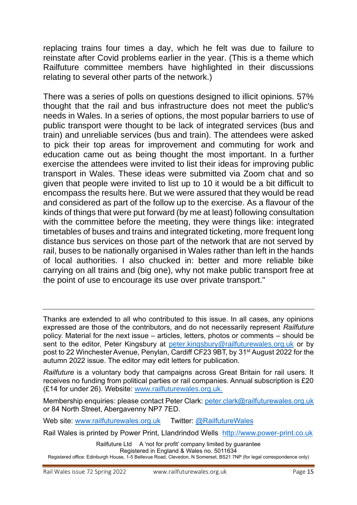replacing trains four times a day, which he felt was due to failure to reinstate after Covid problems earlier in the year. (This is a theme which Railfuture committee members have highlighted in their discussions relating to several other parts of the network.)

There was a series of polls on questions designed to illicit opinions. 57% thought that the rail and bus infrastructure does not meet the public's needs in Wales. In a series of options, the most popular barriers to use of public transport were thought to be lack of integrated services (bus and train) and unreliable services (bus and train). The attendees were asked to pick their top areas for improvement and commuting for work and education came out as being thought the most important. In a further exercise the attendees were invited to list their ideas for improving public transport in Wales. These ideas were submitted via Zoom chat and so given that people were invited to list up to 10 it would be a bit difficult to encompass the results here. But we were assured that they would be read and considered as part of the follow up to the exercise. As a flavour of the kinds of things that were put forward (by me at least) following consultation with the committee before the meeting, they were things like: integrated timetables of buses and trains and integrated ticketing, more frequent long distance bus services on those part of the network that are not served by rail, buses to be nationally organised in Wales rather than left in the hands of local authorities. I also chucked in: better and more reliable bike carrying on all trains and (big one), why not make public transport free at the point of use to encourage its use over private transport."

*Railfuture* is a voluntary body that campaigns across Great Britain for rail users. It receives no funding from political parties or rail companies. Annual subscription is £20 (£14 for under 26). Website: [www.railfuturewales.org.uk.](http://www.railfuturewales.org.uk/)

Membership enquiries: please contact Peter Clark: [peter.clark@railfuturewales.org.uk](mailto:peter.clark@railfuturewales.org.uk) or 84 North Street, Abergavenny NP7 7ED.

Web site: [www.railfuturewales.org.uk](http://www.railfuturewales.org.uk/) Twitter: [@RailfutureWales](https://twitter.com/RailfutureWales)

Rail Wales is printed by Power Print, Llandrindod Wells [http://www.power-print.co.uk](http://www.power-print.co.uk/)

Railfuture Ltd A 'not for profit' company limited by guarantee Registered in England & Wales no. 5011634

Thanks are extended to all who contributed to this issue. In all cases, any opinions expressed are those of the contributors, and do not necessarily represent *Railfuture*  policy. Material for the next issue – articles, letters, photos or comments – should be sent to the editor, Peter Kingsbury at [peter.kingsbury@r](mailto:peter.kingsbury@talktalk.net)ailfuturewales.org.uk or by post to 22 Winchester Avenue, Penylan, Cardiff CF23 9BT, by 31<sup>st</sup> August 2022 for the autumn 2022 issue. The editor may edit letters for publication.

Registered office: Edinburgh House, 1-5 Bellevue Road, Clevedon, N Somerset, BS21 7NP (for legal correspondence only)